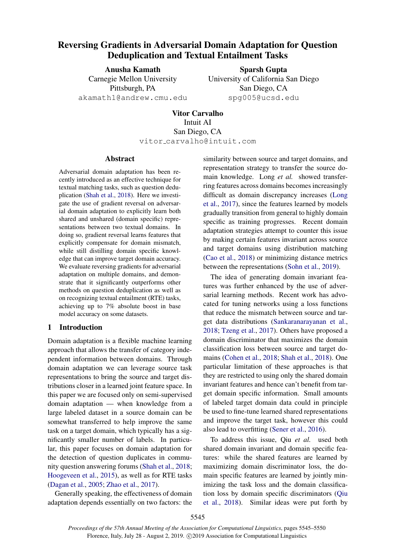# <span id="page-0-0"></span>Reversing Gradients in Adversarial Domain Adaptation for Question Deduplication and Textual Entailment Tasks

Anusha Kamath Carnegie Mellon University Pittsburgh, PA akamath1@andrew.cmu.edu

Sparsh Gupta University of California San Diego San Diego, CA spg005@ucsd.edu

Vitor Carvalho Intuit AI San Diego, CA vitor carvalho@intuit.com

#### Abstract

Adversarial domain adaptation has been recently introduced as an effective technique for textual matching tasks, such as question deduplication [\(Shah et al.,](#page-5-0) [2018\)](#page-5-0). Here we investigate the use of gradient reversal on adversarial domain adaptation to explicitly learn both shared and unshared (domain specific) representations between two textual domains. In doing so, gradient reversal learns features that explicitly compensate for domain mismatch, while still distilling domain specific knowledge that can improve target domain accuracy. We evaluate reversing gradients for adversarial adaptation on multiple domains, and demonstrate that it significantly outperforms other methods on question deduplication as well as on recognizing textual entailment (RTE) tasks, achieving up to 7% absolute boost in base model accuracy on some datasets.

# 1 Introduction

Domain adaptation is a flexible machine learning approach that allows the transfer of category independent information between domains. Through domain adaptation we can leverage source task representations to bring the source and target distributions closer in a learned joint feature space. In this paper we are focused only on semi-supervised domain adaptation — when knowledge from a large labeled dataset in a source domain can be somewhat transferred to help improve the same task on a target domain, which typically has a significantly smaller number of labels. In particular, this paper focuses on domain adaptation for the detection of question duplicates in community question answering forums [\(Shah et al.,](#page-5-0) [2018;](#page-5-0) [Hoogeveen et al.,](#page-4-0) [2015\)](#page-4-0), as well as for RTE tasks [\(Dagan et al.,](#page-4-1) [2005;](#page-4-1) [Zhao et al.,](#page-5-1) [2017\)](#page-5-1).

Generally speaking, the effectiveness of domain adaptation depends essentially on two factors: the similarity between source and target domains, and representation strategy to transfer the source domain knowledge. Long *et al.* showed transferring features across domains becomes increasingly difficult as domain discrepancy increases [\(Long](#page-4-2) [et al.,](#page-4-2) [2017\)](#page-4-2), since the features learned by models gradually transition from general to highly domain specific as training progresses. Recent domain adaptation strategies attempt to counter this issue by making certain features invariant across source and target domains using distribution matching [\(Cao et al.,](#page-4-3) [2018\)](#page-4-3) or minimizing distance metrics between the representations [\(Sohn et al.,](#page-5-2) [2019\)](#page-5-2).

The idea of generating domain invariant features was further enhanced by the use of adversarial learning methods. Recent work has advocated for tuning networks using a loss functions that reduce the mismatch between source and target data distributions [\(Sankaranarayanan et al.,](#page-5-3) [2018;](#page-5-3) [Tzeng et al.,](#page-5-4) [2017\)](#page-5-4). Others have proposed a domain discriminator that maximizes the domain classification loss between source and target domains [\(Cohen et al.,](#page-4-4) [2018;](#page-4-4) [Shah et al.,](#page-5-0) [2018\)](#page-5-0). One particular limitation of these approaches is that they are restricted to using only the shared domain invariant features and hence can't benefit from target domain specific information. Small amounts of labeled target domain data could in principle be used to fine-tune learned shared representations and improve the target task, however this could also lead to overfitting [\(Sener et al.,](#page-5-5) [2016\)](#page-5-5).

To address this issue, Qiu *et al.* used both shared domain invariant and domain specific features: while the shared features are learned by maximizing domain discriminator loss, the domain specific features are learned by jointly minimizing the task loss and the domain classification loss by domain specific discriminators [\(Qiu](#page-4-5) [et al.,](#page-4-5) [2018\)](#page-4-5). Similar ideas were put forth by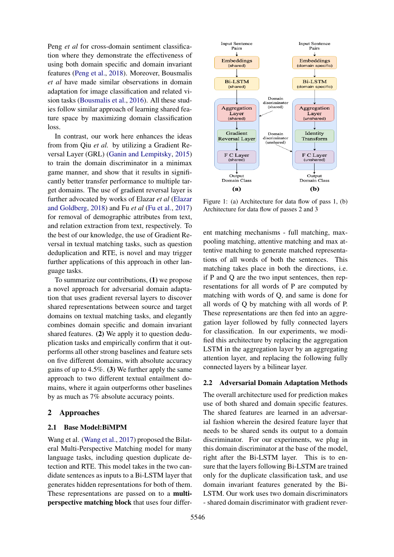Peng *et al* for cross-domain sentiment classification where they demonstrate the effectiveness of using both domain specific and domain invariant features [\(Peng et al.,](#page-4-6) [2018\)](#page-4-6). Moreover, Bousmalis *et al* have made similar observations in domain adaptation for image classification and related vision tasks [\(Bousmalis et al.,](#page-4-7) [2016\)](#page-4-7). All these studies follow similar approach of learning shared feature space by maximizing domain classification loss.

In contrast, our work here enhances the ideas from from Qiu *et al.* by utilizing a Gradient Reversal Layer (GRL) [\(Ganin and Lempitsky,](#page-4-8) [2015\)](#page-4-8) to train the domain discriminator in a minimax game manner, and show that it results in significantly better transfer performance to multiple target domains. The use of gradient reversal layer is further advocated by works of Elazar *et al* [\(Elazar](#page-4-9) [and Goldberg,](#page-4-9) [2018\)](#page-4-9) and Fu *et al* [\(Fu et al.,](#page-4-10) [2017\)](#page-4-10) for removal of demographic attributes from text, and relation extraction from text, respectively. To the best of our knowledge, the use of Gradient Reversal in textual matching tasks, such as question deduplication and RTE, is novel and may trigger further applications of this approach in other language tasks.

To summarize our contributions, (1) we propose a novel approach for adversarial domain adaptation that uses gradient reversal layers to discover shared representations between source and target domains on textual matching tasks, and elegantly combines domain specific and domain invariant shared features. (2) We apply it to question deduplication tasks and empirically confirm that it outperforms all other strong baselines and feature sets on five different domains, with absolute accuracy gains of up to 4.5%. (3) We further apply the same approach to two different textual entailment domains, where it again outperforms other baselines by as much as 7% absolute accuracy points.

### 2 Approaches

#### 2.1 Base Model:BiMPM

Wang et al. [\(Wang et al.,](#page-5-6) [2017\)](#page-5-6) proposed the Bilateral Multi-Perspective Matching model for many language tasks, including question duplicate detection and RTE. This model takes in the two candidate sentences as inputs to a Bi-LSTM layer that generates hidden representations for both of them. These representations are passed on to a multiperspective matching block that uses four differ-

<span id="page-1-0"></span>

Figure 1: (a) Architecture for data flow of pass 1, (b) Architecture for data flow of passes 2 and 3

ent matching mechanisms - full matching, maxpooling matching, attentive matching and max attentive matching to generate matched representations of all words of both the sentences. This matching takes place in both the directions, i.e. if P and Q are the two input sentences, then representations for all words of P are computed by matching with words of Q, and same is done for all words of Q by matching with all words of P. These representations are then fed into an aggregation layer followed by fully connected layers for classification. In our experiments, we modified this architecture by replacing the aggregation LSTM in the aggregation layer by an aggregating attention layer, and replacing the following fully connected layers by a bilinear layer.

## 2.2 Adversarial Domain Adaptation Methods

The overall architecture used for prediction makes use of both shared and domain specific features. The shared features are learned in an adversarial fashion wherein the desired feature layer that needs to be shared sends its output to a domain discriminator. For our experiments, we plug in this domain discriminator at the base of the model, right after the Bi-LSTM layer. This is to ensure that the layers following Bi-LSTM are trained only for the duplicate classification task, and use domain invariant features generated by the Bi-LSTM. Our work uses two domain discriminators - shared domain discriminator with gradient rever-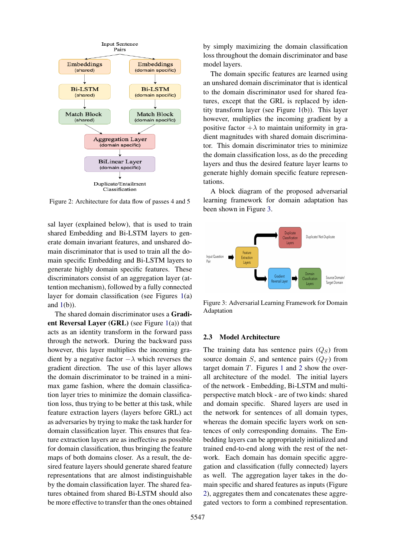<span id="page-2-1"></span>

Figure 2: Architecture for data flow of passes 4 and 5

sal layer (explained below), that is used to train shared Embedding and Bi-LSTM layers to generate domain invariant features, and unshared domain discriminator that is used to train all the domain specific Embedding and Bi-LSTM layers to generate highly domain specific features. These discriminators consist of an aggregation layer (attention mechanism), followed by a fully connected layer for domain classification (see Figures [1\(](#page-1-0)a) and  $1(b)$  $1(b)$ ).

The shared domain discriminator uses a Gradient Reversal Layer (GRL) (see Figure [1\(](#page-1-0)a)) that acts as an identity transform in the forward pass through the network. During the backward pass however, this layer multiplies the incoming gradient by a negative factor  $-\lambda$  which reverses the gradient direction. The use of this layer allows the domain discriminator to be trained in a minimax game fashion, where the domain classification layer tries to minimize the domain classification loss, thus trying to be better at this task, while feature extraction layers (layers before GRL) act as adversaries by trying to make the task harder for domain classification layer. This ensures that feature extraction layers are as ineffective as possible for domain classification, thus bringing the feature maps of both domains closer. As a result, the desired feature layers should generate shared feature representations that are almost indistinguishable by the domain classification layer. The shared features obtained from shared Bi-LSTM should also be more effective to transfer than the ones obtained

by simply maximizing the domain classification loss throughout the domain discriminator and base model layers.

The domain specific features are learned using an unshared domain discriminator that is identical to the domain discriminator used for shared features, except that the GRL is replaced by identity transform layer (see Figure [1\(](#page-1-0)b)). This layer however, multiplies the incoming gradient by a positive factor  $+\lambda$  to maintain uniformity in gradient magnitudes with shared domain discriminator. This domain discriminator tries to minimize the domain classification loss, as do the preceding layers and thus the desired feature layer learns to generate highly domain specific feature representations.

A block diagram of the proposed adversarial learning framework for domain adaptation has been shown in Figure [3.](#page-2-0)

<span id="page-2-0"></span>

Figure 3: Adversarial Learning Framework for Domain Adaptation

## 2.3 Model Architecture

The training data has sentence pairs  $(Q_S)$  from source domain S, and sentence pairs  $(Q_T)$  from target domain  $T$ . Figures [1](#page-1-0) and [2](#page-2-1) show the overall architecture of the model. The initial layers of the network - Embedding, Bi-LSTM and multiperspective match block - are of two kinds: shared and domain specific. Shared layers are used in the network for sentences of all domain types, whereas the domain specific layers work on sentences of only corresponding domains. The Embedding layers can be appropriately initialized and trained end-to-end along with the rest of the network. Each domain has domain specific aggregation and classification (fully connected) layers as well. The aggregation layer takes in the domain specific and shared features as inputs (Figure [2\)](#page-2-1), aggregates them and concatenates these aggregated vectors to form a combined representation.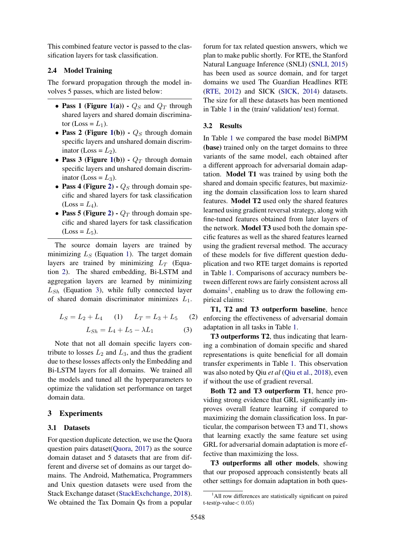This combined feature vector is passed to the classification layers for task classification.

# 2.4 Model Training

The forward propagation through the model involves 5 passes, which are listed below:

- Pass 1 (Figure [1\(](#page-1-0)a))  $Q_S$  and  $Q_T$  through shared layers and shared domain discriminator (Loss =  $L_1$ ).
- Pass 2 (Figure [1\(](#page-1-0)b))  $Q_S$  through domain specific layers and unshared domain discriminator (Loss =  $L_2$ ).
- Pass 3 (Figure [1\(](#page-1-0)b))  $Q_T$  through domain specific layers and unshared domain discriminator (Loss =  $L_3$ ).
- Pass 4 (Figure [2\)](#page-2-1)  $Q_S$  through domain specific and shared layers for task classification  $(Loss = L_4).$
- Pass 5 (Figure [2\)](#page-2-1)  $Q_T$  through domain specific and shared layers for task classification  $(Loss = L<sub>5</sub>).$

The source domain layers are trained by minimizing  $L<sub>S</sub>$  (Equation [1\)](#page-3-0). The target domain layers are trained by minimizing  $L<sub>T</sub>$  (Equation [2\)](#page-3-1). The shared embedding, Bi-LSTM and aggregation layers are learned by minimizing  $L_{Sh}$  (Equation [3\)](#page-3-2), while fully connected layer of shared domain discriminator minimizes  $L_1$ .

<span id="page-3-2"></span><span id="page-3-1"></span><span id="page-3-0"></span>
$$
L_S = L_2 + L_4 \qquad (1) \qquad L_T = L_3 + L_5 \qquad (2)
$$

$$
L_{Sh} = L_4 + L_5 - \lambda L_1 \qquad (3)
$$

Note that not all domain specific layers contribute to losses  $L_2$  and  $L_3$ , and thus the gradient due to these losses affects only the Embedding and Bi-LSTM layers for all domains. We trained all the models and tuned all the hyperparameters to optimize the validation set performance on target domain data.

### 3 Experiments

#### 3.1 Datasets

For question duplicate detection, we use the Quora question pairs dataset[\(Quora,](#page-4-11) [2017\)](#page-4-11) as the source domain dataset and 5 datasets that are from different and diverse set of domains as our target domains. The Android, Mathematica, Programmers and Unix question datasets were used from the Stack Exchange dataset [\(StackExchchange,](#page-5-7) [2018\)](#page-5-7). We obtained the Tax Domain Qs from a popular

forum for tax related question answers, which we plan to make public shortly. For RTE, the Stanford Natural Language Inference (SNLI) [\(SNLI,](#page-5-8) [2015\)](#page-5-8) has been used as source domain, and for target domains we used The Guardian Headlines RTE [\(RTE,](#page-4-12) [2012\)](#page-4-12) and SICK [\(SICK,](#page-5-9) [2014\)](#page-5-9) datasets. The size for all these datasets has been mentioned in Table [1](#page-4-13) in the (train/ validation/ test) format.

### 3.2 Results

In Table [1](#page-4-13) we compared the base model BiMPM (base) trained only on the target domains to three variants of the same model, each obtained after a different approach for adversarial domain adaptation. Model T1 was trained by using both the shared and domain specific features, but maximizing the domain classification loss to learn shared features. Model T2 used only the shared features learned using gradient reversal strategy, along with fine-tuned features obtained from later layers of the network. Model T3 used both the domain specific features as well as the shared features learned using the gradient reversal method. The accuracy of these models for five different question deduplication and two RTE target domains is reported in Table [1.](#page-4-13) Comparisons of accuracy numbers between different rows are fairly consistent across all domains<sup>[1](#page-0-0)</sup>, enabling us to draw the following empirical claims:

T1, T2 and T3 outperform baseline, hence enforcing the effectiveness of adversarial domain adaptation in all tasks in Table [1.](#page-4-13)

T3 outperforms T2, thus indicating that learning a combination of domain specific and shared representations is quite beneficial for all domain transfer experiments in Table [1.](#page-4-13) This observation was also noted by Qiu *et al* [\(Qiu et al.,](#page-4-5) [2018\)](#page-4-5), even if without the use of gradient reversal.

Both T2 and T3 outperform T1, hence providing strong evidence that GRL significantly improves overall feature learning if compared to maximizing the domain classification loss. In particular, the comparison between T3 and T1, shows that learning exactly the same feature set using GRL for adversarial domain adaptation is more effective than maximizing the loss.

T3 outperforms all other models, showing that our proposed approach consistently beats all other settings for domain adaptation in both ques-

<sup>&</sup>lt;sup>1</sup>All row differences are statistically significant on paired t-test(p-value< 0.05)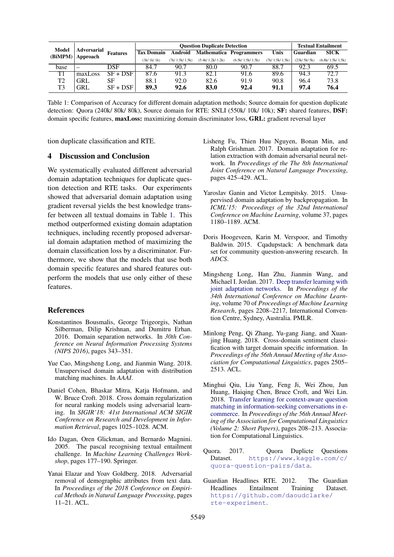<span id="page-4-13"></span>

| Model<br>(BiMPM) | <b>Adversarial</b><br>Approach | <b>Features</b> | <b>Question Duplicate Detection</b> |                |                  |                                |                | <b>Textual Entailment</b> |                  |
|------------------|--------------------------------|-----------------|-------------------------------------|----------------|------------------|--------------------------------|----------------|---------------------------|------------------|
|                  |                                |                 | <b>Tax Domain</b>                   | Android        |                  | <b>Mathematica Programmers</b> | Unix           | Guardian                  | <b>SICK</b>      |
|                  |                                |                 | (3k/1k/1k)                          | (7k/1.5k/1.5k) | (5.4k/1.2k/1.2k) | (6.5k/1.5k/1.5k)               | (7k/1.5k/1.5k) | (23k/5k/5k)               | (6.8k/1.5k/1.5k) |
| base             | -                              | DSF             | 84.7                                | 90.7           | 80.0             | 90.7                           | 88.7           | 92.3                      | 69.5             |
| T1               | maxLoss                        | $SF + DSF$      | 87.6                                | 91.3           | 82.1             | 91.6                           | 89.6           | 94.3                      | 72.7             |
| T <sub>2</sub>   | GRL                            | SF              | 88.1                                | 92.0           | 82.6             | 91.9                           | 90.8           | 96.4                      | 73.8             |
| T <sub>3</sub>   | <b>GRL</b>                     | $SF + DSF$      | 89.3                                | 92.6           | 83.0             | 92.4                           | 91.1           | 97.4                      | 76.4             |

Table 1: Comparison of Accuracy for different domain adaptation methods; Source domain for question duplicate detection: Quora (240k/ 80k/ 80k), Source domain for RTE: SNLI (550k/ 10k/ 10k); SF: shared features, DSF: domain specific features, maxLoss: maximizing domain discriminator loss, GRL: gradient reversal layer

tion duplicate classification and RTE.

# 4 Discussion and Conclusion

We systematically evaluated different adversarial domain adaptation techniques for duplicate question detection and RTE tasks. Our experiments showed that adversarial domain adaptation using gradient reversal yields the best knowledge transfer between all textual domains in Table [1.](#page-4-13) This method outperformed existing domain adaptation techniques, including recently proposed adversarial domain adaptation method of maximizing the domain classification loss by a discriminator. Furthermore, we show that the models that use both domain specific features and shared features outperform the models that use only either of these features.

#### References

- <span id="page-4-7"></span>Konstantinos Bousmalis, George Trigeorgis, Nathan Silberman, Dilip Krishnan, and Dumitru Erhan. 2016. Domain separation networks. In *30th Conference on Neural Information Processing Systems (NIPS 2016)*, pages 343–351.
- <span id="page-4-3"></span>Yue Cao, Mingsheng Long, and Jianmin Wang. 2018. Unsupervised domain adaptation with distribution matching machines. In *AAAI*.
- <span id="page-4-4"></span>Daniel Cohen, Bhaskar Mitra, Katja Hofmann, and W. Bruce Croft. 2018. Cross domain regularization for neural ranking models using adversarial learning. In *SIGIR'18: 41st International ACM SIGIR Conference on Research and Development in Information Retrieval*, pages 1025–1028. ACM.
- <span id="page-4-1"></span>Ido Dagan, Oren Glickman, and Bernardo Magnini. 2005. The pascal recognising textual entailment challenge. In *Machine Learning Challenges Workshop*, pages 177–190. Springer.
- <span id="page-4-9"></span>Yanai Elazar and Yoav Goldberg. 2018. Adversarial removal of demographic attributes from text data. In *Proceedings of the 2018 Conference on Empirical Methods in Natural Language Processing*, pages 11–21. ACL.
- <span id="page-4-10"></span>Lisheng Fu, Thien Huu Nguyen, Bonan Min, and Ralph Grishman. 2017. Domain adaptation for relation extraction with domain adversarial neural network. In *Proceedings of the The 8th International Joint Conference on Natural Language Processing*, pages 425–429. ACL.
- <span id="page-4-8"></span>Yaroslav Ganin and Victor Lempitsky. 2015. Unsupervised domain adaptation by backpropagation. In *ICML'15: Proceedings of the 32nd International Conference on Machine Learning*, volume 37, pages 1180–1189. ACM.
- <span id="page-4-0"></span>Doris Hoogeveen, Karin M. Verspoor, and Timothy Baldwin. 2015. Cqadupstack: A benchmark data set for community question-answering research. In *ADCS*.
- <span id="page-4-2"></span>Mingsheng Long, Han Zhu, Jianmin Wang, and Michael I. Jordan. 2017. [Deep transfer learning with](http://proceedings.mlr.press/v70/long17a.html) [joint adaptation networks.](http://proceedings.mlr.press/v70/long17a.html) In *Proceedings of the 34th International Conference on Machine Learning*, volume 70 of *Proceedings of Machine Learning Research*, pages 2208–2217, International Convention Centre, Sydney, Australia. PMLR.
- <span id="page-4-6"></span>Minlong Peng, Qi Zhang, Yu-gang Jiang, and Xuanjing Huang. 2018. Cross-domain sentiment classification with target domain specific information. In *Proceedings of the 56th Annual Meeting of the Association for Computational Linguistics*, pages 2505– 2513. ACL.
- <span id="page-4-5"></span>Minghui Qiu, Liu Yang, Feng Ji, Wei Zhou, Jun Huang, Haiqing Chen, Bruce Croft, and Wei Lin. 2018. [Transfer learning for context-aware question](http://aclweb.org/anthology/P18-2034) [matching in information-seeking conversations in e](http://aclweb.org/anthology/P18-2034)[commerce.](http://aclweb.org/anthology/P18-2034) In *Proceedings of the 56th Annual Meeting of the Association for Computational Linguistics (Volume 2: Short Papers)*, pages 208–213. Association for Computational Linguistics.
- <span id="page-4-11"></span>Quora. 2017. Quora Duplicte Questions Dataset. [https://www.kaggle.com/c/](https://www.kaggle.com/c/quora-question-pairs/data) [quora-question-pairs/data](https://www.kaggle.com/c/quora-question-pairs/data).
- <span id="page-4-12"></span>Guardian Headlines RTE. 2012. The Guardian<br>Headlines Entailment Training Dataset. Headlines Entailment Training Dataset. [https://github.com/daoudclarke/](https://github.com/daoudclarke/rte-experiment) [rte-experiment](https://github.com/daoudclarke/rte-experiment).